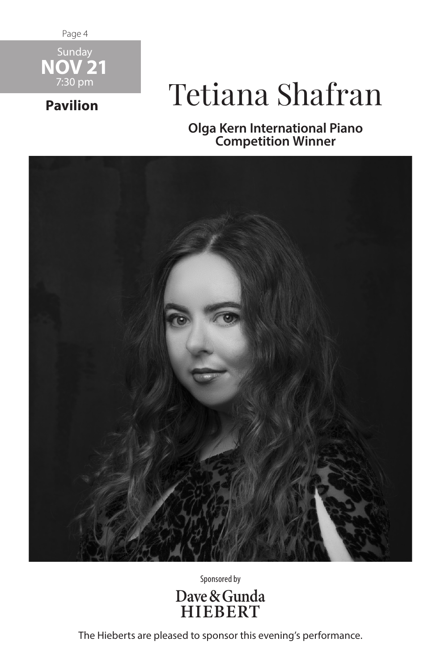Page 4



**Pavilion**

## Tetiana Shafran

**Olga Kern International Piano Competition Winner**



Sponsored by



The Hieberts are pleased to sponsor this evening's performance.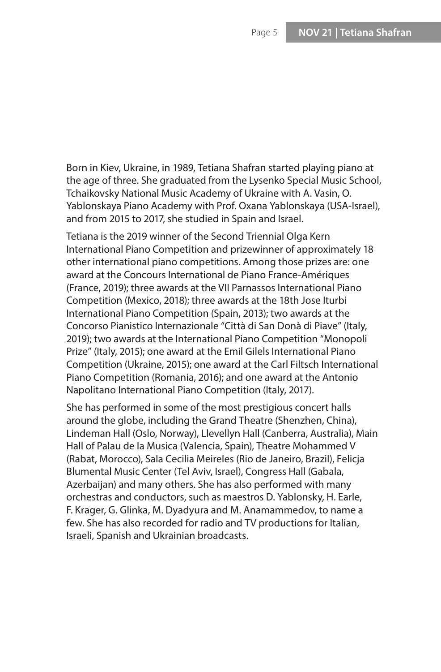Born in Kiev, Ukraine, in 1989, Tetiana Shafran started playing piano at the age of three. She graduated from the Lysenko Special Music School, Tchaikovsky National Music Academy of Ukraine with A. Vasin, O. Yablonskaya Piano Academy with Prof. Oxana Yablonskaya (USA-Israel), and from 2015 to 2017, she studied in Spain and Israel.

Tetiana is the 2019 winner of the Second Triennial Olga Kern International Piano Competition and prizewinner of approximately 18 other international piano competitions. Among those prizes are: one award at the Concours International de Piano France-Amériques (France, 2019); three awards at the VII Parnassos International Piano Competition (Mexico, 2018); three awards at the 18th Jose Iturbi International Piano Competition (Spain, 2013); two awards at the Concorso Pianistico Internazionale "Città di San Donà di Piave" (Italy, 2019); two awards at the International Piano Competition "Monopoli Prize" (Italy, 2015); one award at the Emil Gilels International Piano Competition (Ukraine, 2015); one award at the Carl Filtsch International Piano Competition (Romania, 2016); and one award at the Antonio Napolitano International Piano Competition (Italy, 2017).

She has performed in some of the most prestigious concert halls around the globe, including the Grand Theatre (Shenzhen, China), Lindeman Hall (Oslo, Norway), Llevellyn Hall (Canberra, Australia), Main Hall of Palau de la Musica (Valencia, Spain), Theatre Mohammed V (Rabat, Morocco), Sala Cecilia Meireles (Rio de Janeiro, Brazil), Felicja Blumental Music Center (Tel Aviv, Israel), Congress Hall (Gabala, Azerbaijan) and many others. She has also performed with many orchestras and conductors, such as maestros D. Yablonsky, H. Earle, F. Krager, G. Glinka, M. Dyadyura and M. Anamammedov, to name a few. She has also recorded for radio and TV productions for Italian, Israeli, Spanish and Ukrainian broadcasts.